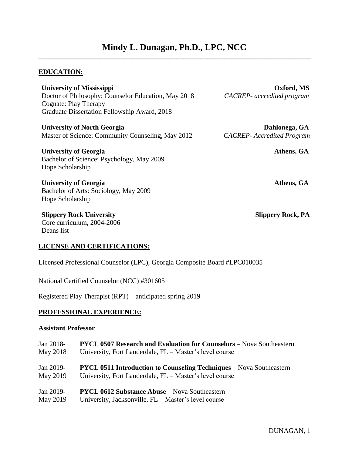# **Mindy L. Dunagan, Ph.D., LPC, NCC \_\_\_\_\_\_\_\_\_\_\_\_\_\_\_\_\_\_\_\_\_\_\_\_\_\_\_\_\_\_\_\_\_\_\_\_\_\_\_\_\_\_\_\_\_\_\_\_\_\_\_\_\_\_\_\_\_\_\_\_\_\_\_\_\_\_\_\_\_\_\_\_\_\_\_\_\_\_\_**

### **EDUCATION:**

| <b>University of Mississippi</b>                    | Oxford, MS                       |
|-----------------------------------------------------|----------------------------------|
| Doctor of Philosophy: Counselor Education, May 2018 | CACREP- accredited program       |
| Cognate: Play Therapy                               |                                  |
| Graduate Dissertation Fellowship Award, 2018        |                                  |
| <b>University of North Georgia</b>                  | Dahlonega, GA                    |
| Master of Science: Community Counseling, May 2012   | <b>CACREP-Accredited Program</b> |
| <b>University of Georgia</b>                        | Athens, GA                       |
| Bachelor of Science: Psychology, May 2009           |                                  |
| Hope Scholarship                                    |                                  |
| <b>University of Georgia</b>                        | Athens, GA                       |
| Bachelor of Arts: Sociology, May 2009               |                                  |
| Hope Scholarship                                    |                                  |
| <b>Slippery Rock University</b>                     | <b>Slippery Rock, PA</b>         |
| Core curriculum, 2004-2006                          |                                  |

#### **LICENSE AND CERTIFICATIONS:**

Licensed Professional Counselor (LPC), Georgia Composite Board #LPC010035

National Certified Counselor (NCC) #301605

Registered Play Therapist (RPT) – anticipated spring 2019

### **PROFESSIONAL EXPERIENCE:**

#### **Assistant Professor**

Deans list

| Jan 2018- | <b>PYCL 0507 Research and Evaluation for Counselors</b> – Nova Southeastern |
|-----------|-----------------------------------------------------------------------------|
| May 2018  | University, Fort Lauderdale, FL – Master's level course                     |
|           |                                                                             |
| Jan 2019- | <b>PYCL 0511 Introduction to Counseling Techniques – Nova Southeastern</b>  |
| May 2019  | University, Fort Lauderdale, FL – Master's level course                     |
| Jan 2019- | <b>PYCL 0612 Substance Abuse</b> – Nova Southeastern                        |
|           |                                                                             |
| May 2019  | University, Jacksonville, FL – Master's level course                        |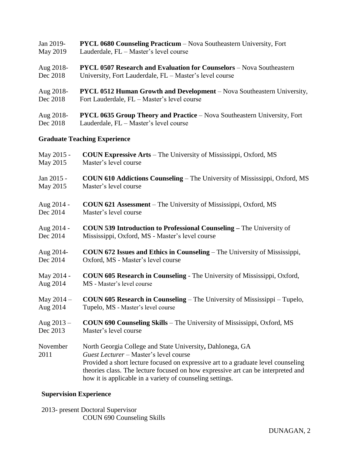| Jan 2019- | <b>PYCL 0680 Counseling Practicum</b> – Nova Southeastern University, Fort |
|-----------|----------------------------------------------------------------------------|
| May 2019  | Lauderdale, FL – Master's level course                                     |

- Aug 2018- **PYCL 0507 Research and Evaluation for Counselors** Nova Southeastern Dec 2018 University, Fort Lauderdale, FL – Master's level course
- Aug 2018- **PYCL 0512 Human Growth and Development** Nova Southeastern University, Dec 2018 Fort Lauderdale, FL – Master's level course
- Aug 2018- **PYCL 0635 Group Theory and Practice**  Nova Southeastern University, Fort Dec 2018 Lauderdale, FL – Master's level course

### **Graduate Teaching Experience**

| May 2015 -       | <b>COUN Expressive Arts</b> – The University of Mississippi, Oxford, MS                                                                                                                                                                                                                                                                   |
|------------------|-------------------------------------------------------------------------------------------------------------------------------------------------------------------------------------------------------------------------------------------------------------------------------------------------------------------------------------------|
| May 2015         | Master's level course                                                                                                                                                                                                                                                                                                                     |
| Jan 2015 -       | <b>COUN 610 Addictions Counseling – The University of Mississippi, Oxford, MS</b>                                                                                                                                                                                                                                                         |
| May 2015         | Master's level course                                                                                                                                                                                                                                                                                                                     |
| Aug 2014 -       | <b>COUN 621 Assessment</b> – The University of Mississippi, Oxford, MS                                                                                                                                                                                                                                                                    |
| Dec 2014         | Master's level course                                                                                                                                                                                                                                                                                                                     |
| Aug 2014 -       | <b>COUN 539 Introduction to Professional Counseling – The University of</b>                                                                                                                                                                                                                                                               |
| Dec 2014         | Mississippi, Oxford, MS - Master's level course                                                                                                                                                                                                                                                                                           |
| Aug 2014-        | <b>COUN 672 Issues and Ethics in Counseling</b> – The University of Mississippi,                                                                                                                                                                                                                                                          |
| Dec 2014         | Oxford, MS - Master's level course                                                                                                                                                                                                                                                                                                        |
| May 2014 -       | <b>COUN 605 Research in Counseling - The University of Mississippi, Oxford,</b>                                                                                                                                                                                                                                                           |
| Aug 2014         | MS - Master's level course                                                                                                                                                                                                                                                                                                                |
| May $2014 -$     | <b>COUN 605 Research in Counseling</b> – The University of Mississippi – Tupelo,                                                                                                                                                                                                                                                          |
| Aug 2014         | Tupelo, MS - Master's level course                                                                                                                                                                                                                                                                                                        |
| Aug $2013 -$     | COUN 690 Counseling Skills - The University of Mississippi, Oxford, MS                                                                                                                                                                                                                                                                    |
| Dec 2013         | Master's level course                                                                                                                                                                                                                                                                                                                     |
| November<br>2011 | North Georgia College and State University, Dahlonega, GA<br>Guest Lecturer - Master's level course<br>Provided a short lecture focused on expressive art to a graduate level counseling<br>theories class. The lecture focused on how expressive art can be interpreted and<br>how it is applicable in a variety of counseling settings. |

### **Supervision Experience**

2013- present Doctoral Supervisor COUN 690 Counseling Skills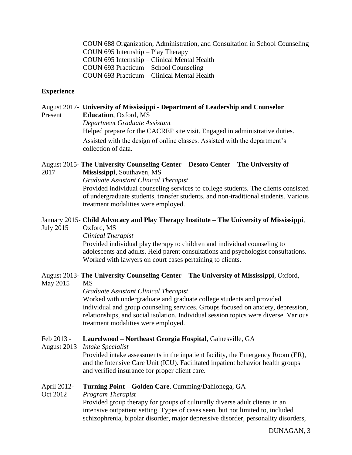COUN 688 Organization, Administration, and Consultation in School Counseling COUN 695 Internship – Play Therapy COUN 695 Internship – Clinical Mental Health COUN 693 Practicum – School Counseling COUN 693 Practicum – Clinical Mental Health

### **Experience**

August 2017- **University of Mississippi - Department of Leadership and Counselor** Present **Education**, Oxford, MS *Department Graduate Assistant* Helped prepare for the CACREP site visit. Engaged in administrative duties. Assisted with the design of online classes. Assisted with the department's collection of data.

August 2015- **The University Counseling Center – Desoto Center – The University of** 2017 **Mississippi**, Southaven, MS *Graduate Assistant Clinical Therapist* Provided individual counseling services to college students. The clients consisted of undergraduate students, transfer students, and non-traditional students. Various treatment modalities were employed.

January 2015- **Child Advocacy and Play Therapy Institute – The University of Mississippi**,

July 2015 Oxford, MS

*Clinical Therapist*

Provided individual play therapy to children and individual counseling to adolescents and adults. Held parent consultations and psychologist consultations. Worked with lawyers on court cases pertaining to clients.

# August 2013- **The University Counseling Center – The University of Mississippi**, Oxford,

#### May 2015 MS

*Graduate Assistant Clinical Therapist*

Worked with undergraduate and graduate college students and provided individual and group counseling services. Groups focused on anxiety, depression, relationships, and social isolation. Individual session topics were diverse. Various treatment modalities were employed.

#### Feb 2013 - **Laurelwood – Northeast Georgia Hospital**, Gainesville, GA

August 2013 *Intake Specialist*

Provided intake assessments in the inpatient facility, the Emergency Room (ER), and the Intensive Care Unit (ICU). Facilitated inpatient behavior health groups and verified insurance for proper client care.

#### April 2012- **Turning Point – Golden Care**, Cumming/Dahlonega, GA

Oct 2012 *Program Therapist*

Provided group therapy for groups of culturally diverse adult clients in an intensive outpatient setting. Types of cases seen, but not limited to, included schizophrenia, bipolar disorder, major depressive disorder, personality disorders,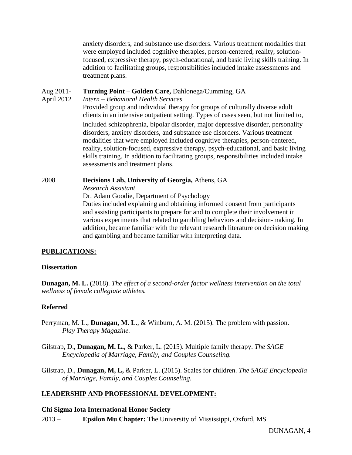anxiety disorders, and substance use disorders. Various treatment modalities that were employed included cognitive therapies, person-centered, reality, solutionfocused, expressive therapy, psych-educational, and basic living skills training. In addition to facilitating groups, responsibilities included intake assessments and treatment plans.

### Aug 2011- **Turning Point – Golden Care,** Dahlonega/Cumming, GA

#### April 2012 *Intern – Behavioral Health Services*

Provided group and individual therapy for groups of culturally diverse adult clients in an intensive outpatient setting. Types of cases seen, but not limited to, included schizophrenia, bipolar disorder, major depressive disorder, personality disorders, anxiety disorders, and substance use disorders. Various treatment modalities that were employed included cognitive therapies, person-centered, reality, solution-focused, expressive therapy, psych-educational, and basic living skills training. In addition to facilitating groups, responsibilities included intake assessments and treatment plans.

# 2008 **Decisions Lab, University of Georgia,** Athens, GA

*Research Assistant*

Dr. Adam Goodie, Department of Psychology

Duties included explaining and obtaining informed consent from participants and assisting participants to prepare for and to complete their involvement in various experiments that related to gambling behaviors and decision-making. In addition, became familiar with the relevant research literature on decision making and gambling and became familiar with interpreting data.

# **PUBLICATIONS:**

# **Dissertation**

**Dunagan, M. L.** (2018). *The effect of a second-order factor wellness intervention on the total wellness of female collegiate athletes.*

# **Referred**

- Perryman, M. L., **Dunagan, M. L.**, & Winburn, A. M. (2015). The problem with passion. *Play Therapy Magazine.*
- Gilstrap, D., **Dunagan, M. L.,** & Parker, L. (2015). Multiple family therapy. *The SAGE Encyclopedia of Marriage, Family, and Couples Counseling.*

Gilstrap, D., **Dunagan, M, L,** & Parker, L. (2015). Scales for children. *The SAGE Encyclopedia of Marriage, Family, and Couples Counseling.*

# **LEADERSHIP AND PROFESSIONAL DEVELOPMENT:**

# **Chi Sigma Iota International Honor Society**

2013 – **Epsilon Mu Chapter:** The University of Mississippi, Oxford, MS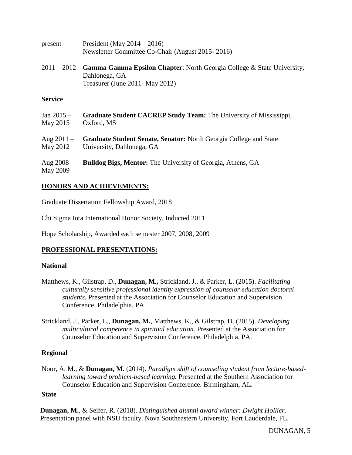| present                  | President (May $2014 - 2016$ )<br>Newsletter Committee Co-Chair (August 2015-2016)                                                 |
|--------------------------|------------------------------------------------------------------------------------------------------------------------------------|
| $2011 - 2012$            | <b>Gamma Gamma Epsilon Chapter:</b> North Georgia College & State University,<br>Dahlonega, GA<br>Treasurer (June 2011 - May 2012) |
| <b>Service</b>           |                                                                                                                                    |
| $Jan 2015 -$<br>May 2015 | <b>Graduate Student CACREP Study Team:</b> The University of Mississippi,<br>Oxford, MS                                            |
| Aug $2011 -$             | <b>Graduate Student Senate, Senator:</b> North Georgia College and State                                                           |

May 2012 University, Dahlonega, GA

Aug 2008 – **Bulldog Bigs, Mentor:** The University of Georgia, Athens, GA May 2009

# **HONORS AND ACHIEVEMENTS:**

Graduate Dissertation Fellowship Award, 2018

Chi Sigma Iota International Honor Society, Inducted 2011

Hope Scholarship, Awarded each semester 2007, 2008, 2009

# **PROFESSIONAL PRESENTATIONS:**

# **National**

- Matthews, K., Gilstrap, D., **Dunagan, M.,** Strickland, J., & Parker, L. (2015). *Facilitating culturally sensitive professional identity expression of counselor education doctoral students.* Presented at the Association for Counselor Education and Supervision Conference. Philadelphia, PA.
- Strickland, J., Parker, L., **Dunagan, M.**, Matthews, K., & Gilstrap, D. (2015). *Developing multicultural competence in spiritual education.* Presented at the Association for Counselor Education and Supervision Conference. Philadelphia, PA.

# **Regional**

Noor, A. M., & **Dunagan, M.** (2014). *Paradigm shift of counseling student from lecture-basedlearning toward problem-based learning.* Presented at the Southern Association for Counselor Education and Supervision Conference. Birmingham, AL.

# **State**

**Dunagan, M.**, & Seifer, R. (2018). *Distinguished alumni award winner: Dwight Hollier*. Presentation panel with NSU faculty. Nova Southeastern University. Fort Lauderdale, FL.